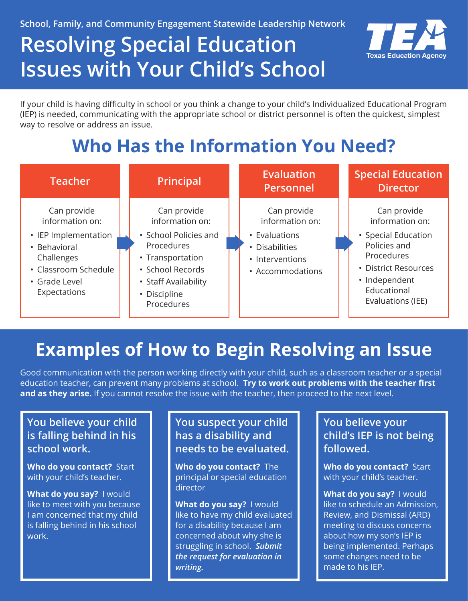**School, Family, and Community Engagement Statewide Leadership Network** 

# **Resolving Special Education Issues with Your Child's School**



If your child is having difficulty in school or you think a change to your child's Individualized Educational Program (IEP) is needed, communicating with the appropriate school or district personnel is often the quickest, simplest way to resolve or address an issue.

# **Who Has the Information You Need?**



# **Examples of How to Begin Resolving an Issue**

Good communication with the person working directly with your child, such as a classroom teacher or a special education teacher, can prevent many problems at school. **Try to work out problems with the teacher first and as they arise.** If you cannot resolve the issue with the teacher, then proceed to the next level.

## **You believe your child is falling behind in his school work.**

**Who do you contact?** Start with your child's teacher.

**What do you say?** I would like to meet with you because I am concerned that my child is falling behind in his school work.

## **You suspect your child has a disability and needs to be evaluated.**

**Who do you contact?** The principal or special education director

**What do you say?** I would like to have my child evaluated for a disability because I am concerned about why she is struggling in school. *Submit the request for evaluation in writing.* 

**You believe your child's IEP is not being followed.** 

**Who do you contact?** Start with your child's teacher.

**What do you say?** I would like to schedule an Admission, Review, and Dismissal (ARD) meeting to discuss concerns about how my son's IEP is being implemented. Perhaps some changes need to be made to his IEP.